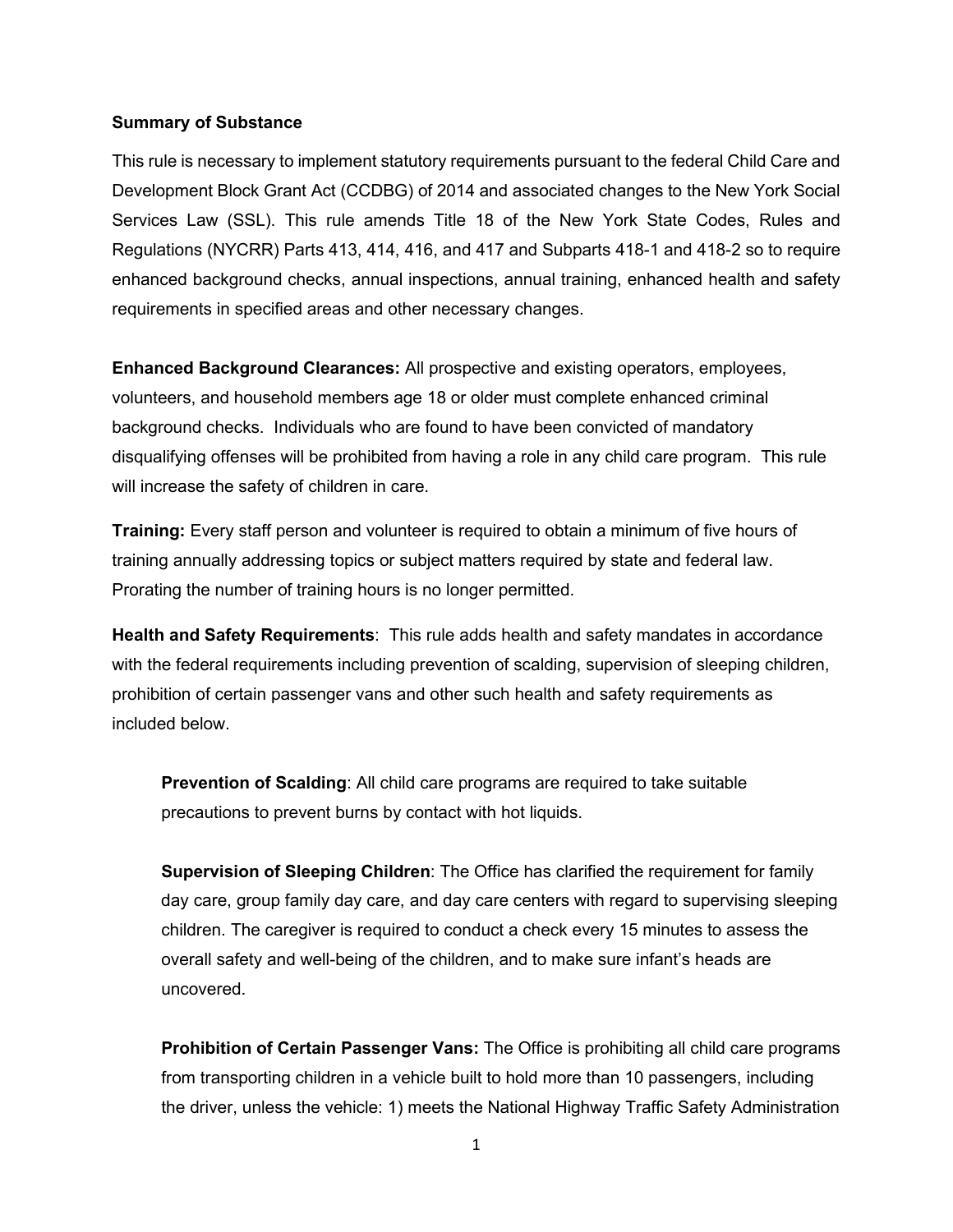## **Summary of Substance**

This rule is necessary to implement statutory requirements pursuant to the federal Child Care and Development Block Grant Act (CCDBG) of 2014 and associated changes to the New York Social Services Law (SSL). This rule amends Title 18 of the New York State Codes, Rules and Regulations (NYCRR) Parts 413, 414, 416, and 417 and Subparts 418-1 and 418-2 so to require enhanced background checks, annual inspections, annual training, enhanced health and safety requirements in specified areas and other necessary changes.

**Enhanced Background Clearances:** All prospective and existing operators, employees, volunteers, and household members age 18 or older must complete enhanced criminal background checks. Individuals who are found to have been convicted of mandatory disqualifying offenses will be prohibited from having a role in any child care program. This rule will increase the safety of children in care.

**Training:** Every staff person and volunteer is required to obtain a minimum of five hours of training annually addressing topics or subject matters required by state and federal law. Prorating the number of training hours is no longer permitted.

**Health and Safety Requirements**: This rule adds health and safety mandates in accordance with the federal requirements including prevention of scalding, supervision of sleeping children, prohibition of certain passenger vans and other such health and safety requirements as included below.

**Prevention of Scalding**: All child care programs are required to take suitable precautions to prevent burns by contact with hot liquids.

**Supervision of Sleeping Children**: The Office has clarified the requirement for family day care, group family day care, and day care centers with regard to supervising sleeping children. The caregiver is required to conduct a check every 15 minutes to assess the overall safety and well-being of the children, and to make sure infant's heads are uncovered.

**Prohibition of Certain Passenger Vans:** The Office is prohibiting all child care programs from transporting children in a vehicle built to hold more than 10 passengers, including the driver, unless the vehicle: 1) meets the National Highway Traffic Safety Administration

1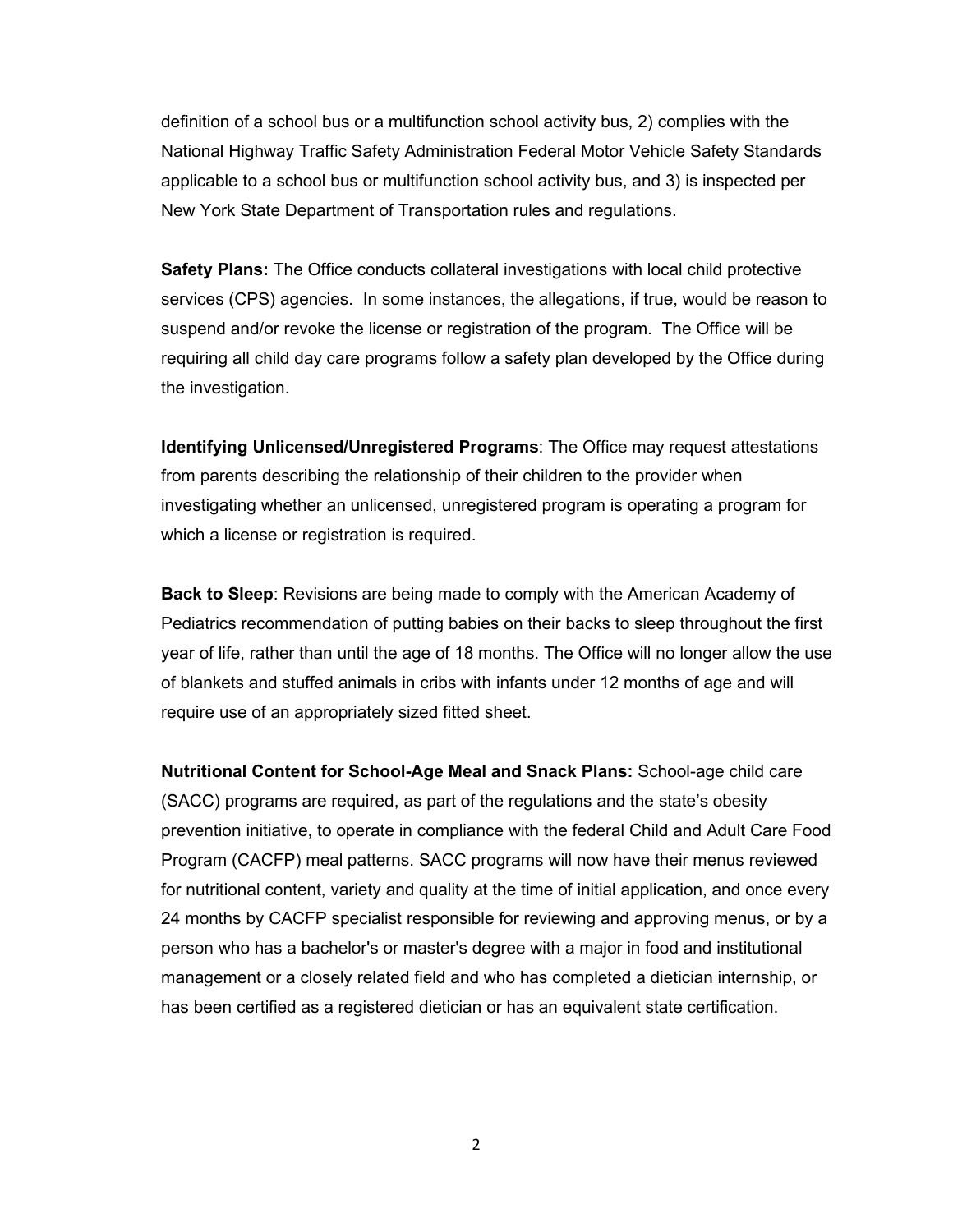definition of a school bus or a multifunction school activity bus, 2) complies with the National Highway Traffic Safety Administration Federal Motor Vehicle Safety Standards applicable to a school bus or multifunction school activity bus, and 3) is inspected per New York State Department of Transportation rules and regulations.

**Safety Plans:** The Office conducts collateral investigations with local child protective services (CPS) agencies. In some instances, the allegations, if true, would be reason to suspend and/or revoke the license or registration of the program. The Office will be requiring all child day care programs follow a safety plan developed by the Office during the investigation.

**Identifying Unlicensed/Unregistered Programs**: The Office may request attestations from parents describing the relationship of their children to the provider when investigating whether an unlicensed, unregistered program is operating a program for which a license or registration is required.

**Back to Sleep**: Revisions are being made to comply with the American Academy of Pediatrics recommendation of putting babies on their backs to sleep throughout the first year of life, rather than until the age of 18 months. The Office will no longer allow the use of blankets and stuffed animals in cribs with infants under 12 months of age and will require use of an appropriately sized fitted sheet.

**Nutritional Content for School-Age Meal and Snack Plans:** School-age child care (SACC) programs are required, as part of the regulations and the state's obesity prevention initiative, to operate in compliance with the federal Child and Adult Care Food Program (CACFP) meal patterns. SACC programs will now have their menus reviewed for nutritional content, variety and quality at the time of initial application, and once every 24 months by CACFP specialist responsible for reviewing and approving menus, or by a person who has a bachelor's or master's degree with a major in food and institutional management or a closely related field and who has completed a dietician internship, or has been certified as a registered dietician or has an equivalent state certification.